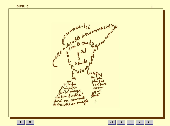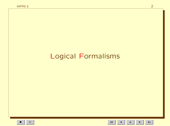# **Logical Formalisms**

 $\mathbf{H}^{\dagger}$  $\blacktriangleright$ 

 $\blacksquare$ 

 $\blacktriangleright$  l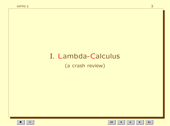# I. Lambda-Calculus

(a crash review)

 $\blacksquare$ 

 $\mathbf{H}^{\dagger}$ 

 $\blacktriangleright$  l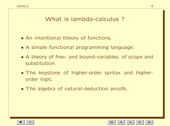## What is lambda-calculus ?

- An intentional theory of functions.
- A simple functional programming language.
- A theory of free- and bound-variables, of scope and substitution.
- The keystone of higher-order syntax and higherorder logic.
- The algebra of natural-deduction proofs.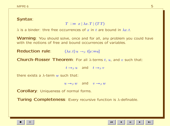### Syntax:

 $T \ ::= x \mid \lambda x \cdot T \mid (TT)$ 

 $\lambda$  is a binder: thre free occurrences of x in t are bound in  $\lambda x. t$ .

**Warning**: You should solve, once and for all, any problem you could have with the notions of free and bound occurrences of variables.

Reduction rule:  $(\lambda x. t) u \rightarrow_{\beta} t[x:=u]$ 

**Church-Rosser Theorem:** For all  $\lambda$ -terms t, u, and v such that:

 $t \rightarrow_{\beta} u$  and  $t \rightarrow_{\beta} v$ 

there exists a  $\lambda$ -term w such that:

 $u \rightarrow_{\beta} w$  and  $v \rightarrow_{\beta} w$ 

Corollary: Uniqueness of normal forms.

Turing Completeness: Every recursive function is λ-definable.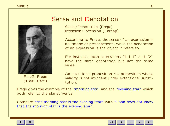

#### F.L.G. Frege (1848–1925)

## Sense and Denotation

Sense/Denotation (Frege) Intension/Extension (Carnap)

According to Frege, the sense of an expression is its "mode of presentation", while the denotation of an expression is the object it refers to.

For instance, both expressions " $1 + 1$ " and "2" have the same denotation but not the same sense.

An intensional proposition is a proposition whose validity is not invariant under extensional substitution.

Frege gives the example of the "morning star" and the "evening star" which both refer to the planet Venus.

Compare "the morning star is the evening star" with "John does not know that the morning star is the evening star".

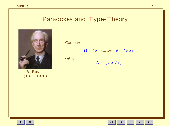## Paradoxes and Type-Theory



**B.** Russell  $(1872 - 1970)$  Compare:

 $\Omega = \delta \delta$  where  $\delta = \lambda x. x x$ 

with:

$$
X = \{x \mid x \notin x\}
$$

 $\mathbf{H}$ 

 $\blacksquare$ 

 $\blacktriangleright$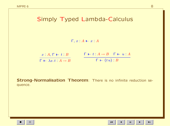# Simply Typed Lambda-Calculus

 $\Gamma, x : A \vdash x : A$ 

| $x:A,\,\Gamma\,\vdash\, t:B$                   | $\begin{array}{ccc}\n\begin{array}{ccc}\n\blacksquare & \blacksquare & \blacksquare & t : A \rightarrow B \\ \end{array} & \begin{array}{ccc}\n\blacksquare & \blacksquare & \blacksquare & u : A\n\end{array}\n\end{array}$ |
|------------------------------------------------|------------------------------------------------------------------------------------------------------------------------------------------------------------------------------------------------------------------------------|
| $\Gamma \vdash \lambda x. t : A \rightarrow B$ | $\Gamma \vdash (tu): B$                                                                                                                                                                                                      |

Strong-Normalisation Theorem: There is no infinite reduction sequence.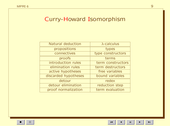## Curry-Howard Isomorphism

| Natural deduction    | $\lambda$ -calculus |
|----------------------|---------------------|
| propositions         | types               |
| connectives          | type constructors   |
| proofs               | terms               |
| introduction rules   | term constructors   |
| elimination rules    | term destructors    |
| active hypotheses    | free variables      |
| discarded hypotheses | bound variables     |
| detour               | redex               |
| detour elimination   | reduction step      |
| proof normalization  | term evaluation     |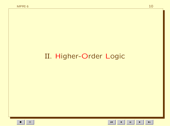# II. Higher-Order Logic

 $\mathbf{H}^{\dagger}$  $\blacktriangleright$ 

 $\blacksquare$ 

 $\blacktriangleright$  l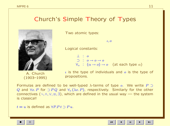## Church's Simple Theory of Types



A. Church (1903–1995) Two atomic types:

 $l, o$ 

Logical constants:

 $\perp$  :  $\circ$  $\supset$  :  $o \rightarrow o \rightarrow o$  $\forall_{\alpha} : (\alpha \rightarrow o) \rightarrow o$  (at each type  $\alpha$ )

 $\iota$  is the type of individuals and  $\iota$  is the type of propositions.

Formulas are defined to be well-typed  $\lambda$ -terms of type  $o$ . We write P  $\supset$ Q and  $\forall x \in P$  for  $\supset P Q$  and  $\forall_{\alpha} (\lambda x \in P)$ , respectively. Similarly for the other connectives  $(\neg, \land, \lor, \equiv, \exists)$ , which are defined in the usual way — the system is classical!

 $t = u$  is defined as  $\forall P.P.t \supset P u$ .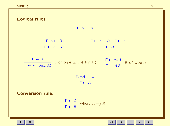| Logical rules:                                                                                                                                                                                              |                                                                                                   |
|-------------------------------------------------------------------------------------------------------------------------------------------------------------------------------------------------------------|---------------------------------------------------------------------------------------------------|
| $\Gamma, A \vdash A$                                                                                                                                                                                        |                                                                                                   |
| $\frac{\Gamma, A \vdash B}{\Gamma \vdash A \supset B}$                                                                                                                                                      | $\begin{array}{ccc}\n\Box \vdash A \supset B & \Gamma \vdash A\n\end{array}$<br>$\Gamma \vdash B$ |
| $\frac{\Gamma \vdash A}{\Gamma \vdash \forall_{\alpha} (\lambda x_{\alpha}.A)}$ $x$ of type $\alpha, x \notin FV(\Gamma)$<br>$\frac{\Gamma \vdash \forall_{\alpha} A}{\Gamma \vdash AB}$ B of type $\alpha$ |                                                                                                   |
| $\frac{\Gamma, \neg A \vdash \bot}{\Gamma \vdash A}$                                                                                                                                                        |                                                                                                   |
| <b>Conversion rule:</b><br>$\frac{\Gamma \vdash A}{\Gamma \vdash B}$ where $A =_{\beta} B$                                                                                                                  |                                                                                                   |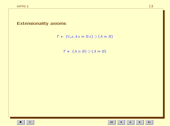### **Extensionality axioms:**



 $\Gamma \vdash (A \equiv B) \supset (A = B)$ 

 $\mathbf{H}^{\pm}$  $\blacktriangleright$ 

 $\blacksquare$ 

 $\blacktriangleright$  l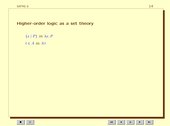Higher-order logic as a set theory

 ${x | P}$  as  $\lambda x.P$ 

 $t \in A$  as  $At$ 

 $\mathbf{H}^{\dagger}$ 

 $\blacksquare$ 

 $\blacktriangleright$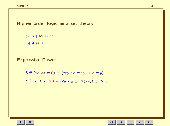Higher-order logic as a set theory

 ${x | P}$  as  $\lambda x.P$  $t \in A$  as  $At$ 

#### Expressive Power

$$
S \stackrel{\triangle}{=} (\forall x. s \, x \neq 0) \land (\forall xy. s \, x = sy \supset x = y)
$$
  

$$
N \stackrel{\triangle}{=} \lambda x. (\forall R. R \, 0 \land (\forall y. R \, y \supset R(s \, y)) \supset R x)
$$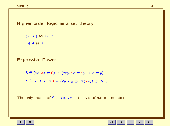Higher-order logic as a set theory

 ${x | P}$  as  $\lambda x.P$  $t \in A$  as  $At$ 

#### Expressive Power

$$
S \stackrel{\triangle}{=} (\forall x. sx \neq 0) \land (\forall xy. sx = sy \supset x = y)
$$
  

$$
N \stackrel{\triangle}{=} \lambda x. (\forall R. R0 \land (\forall y. Ry \supset R(sy)) \supset Rx)
$$

The only model of S  $\land \forall x. N x$  is the set of natural numbers.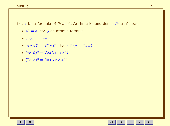- $\phi^N = \phi$ , for  $\phi$  an atomic formula,
- $\bullet$   $(\neg \phi)^{\mathbb{N}} = \neg \phi^{\mathbb{N}}$ ,
- $(\phi * \psi)^N = \phi^N * \psi^N$ , for  $* \in {\wedge, \vee, \supset, \equiv}$ ,
- $(\forall x. \phi)^N = \forall x. (\mathsf{N} x \supset \phi^N)$ ,
- $(\exists x. \phi)^N = \exists x. (N x \land \phi^N).$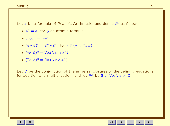- $\phi^N = \phi$ , for  $\phi$  an atomic formula,
- $\bullet$   $(\neg \phi)^{\mathbb{N}} = \neg \phi^{\mathbb{N}}$ ,
- $(\phi * \psi)^N = \phi^N * \psi^N$ , for  $* \in {\wedge, \vee, \supset, \equiv}$ ,
- $(\forall x. \phi)^N = \forall x. (\mathsf{N} x \supset \phi^N)$ ,
- $(\exists x. \phi)^N = \exists x. (N x \land \phi^N).$

Let D be the conjunction of the universal closures of the defining equations for addition and multiplication, and let PA be S  $\wedge \forall x. N x \wedge D$ .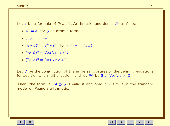- $\phi^N = \phi$ , for  $\phi$  an atomic formula,
- $\bullet$   $(\neg \phi)^{\mathbb{N}} = \neg \phi^{\mathbb{N}}$ ,
- $(\phi * \psi)^N = \phi^N * \psi^N$ , for  $* \in {\wedge, \vee, \supset, \equiv}$ ,
- $(\forall x. \phi)^N = \forall x. (\mathsf{N} x \supset \phi^N)$ ,
- $(\exists x. \phi)^N = \exists x. (N x \land \phi^N).$

Let D be the conjunction of the universal closures of the defining equations for addition and multiplication, and let PA be S  $\land \forall x. N x \land D$ .

Then, the formula PA  $\supset \phi$  is valid if and only if  $\phi$  is true in the standard model of Peano's arithmetic.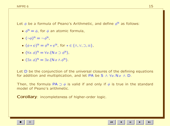- $\phi^N = \phi$ , for  $\phi$  an atomic formula,
- $\bullet$   $(\neg \phi)^{\mathbb{N}} = \neg \phi^{\mathbb{N}}$ ,
- $(\phi * \psi)^N = \phi^N * \psi^N$ , for  $* \in {\wedge, \vee, \supset, \equiv}$ ,
- $(\forall x. \phi)^N = \forall x. (\mathsf{N} x \supset \phi^N)$ ,
- $(\exists x. \phi)^N = \exists x. (N x \land \phi^N).$

Let D be the conjunction of the universal closures of the defining equations for addition and multiplication, and let PA be S  $\land \forall x.\mathsf{N}\,x \land \mathsf{D}$ .

Then, the formula PA  $\supset \phi$  is valid if and only if  $\phi$  is true in the standard model of Peano's arithmetic.

Corollary: incompleteness of higher-order logic.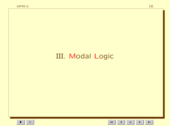# III. Modal Logic

 $\mathbf{H}^{\dagger}$  $\blacktriangleright$   $\blacktriangleright$  l

 $\blacksquare$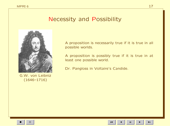# Necessity and Possibility



G.W. von Leibniz (1646–1716)

A proposition is necessarily true if it is true in all possible worlds.

A proposition is possibly true if it is true in at least one possible world.

Dr. Pangloss in Voltaire's Candide.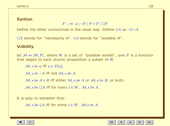### Syntax:

 $F$  :  $= a \mid \neg F \mid F \vee F \mid \Box F$ 

Define the other connectives in the usual way. Define  $\Diamond A$  as  $\neg \Box \neg A$ .

 $\Box A$  stands for "necessarily A".  $\Diamond A$  stands for "possibly A".

### Validity:

let  $M = \langle W, P \rangle$ , where W is a set of "possible worlds", and P is a function that asigns to each atomic proposition a subset of W.

 $\mathcal{M}, s \models a \text{ iff } s \in P(a).$ 

 $\mathcal{M}, s \models \neg A$  iff not  $\mathcal{M}, s \models A$ .

 $M, s \models A \vee B$  iff either  $M, s \models A$  or  $M, s \models B$ , or both.

 $\mathcal{M}, s \models \Box A$  iff for every  $t \in W$ ,  $\mathcal{M}, t \models A$ .

It is easy to establish that:

 $\mathcal{M}, s \models \Diamond A$  iff for some  $t \in W$ ,  $\mathcal{M}, t \models A$ .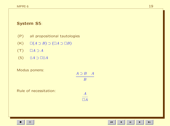## System S5:

- (P) all propositional tautologies
- $(K)$   $\Box(A \supset B) \supset (\Box A \supset \Box B)$
- $(T)$   $\Box A \supset A$
- (5)  $\Diamond A \supset \Box \Diamond A$

Rule of necessitation:

#### Modus ponens:

$$
\begin{array}{c}\nA \supset B \quad A \\
B \\
\hline\n\end{array}
$$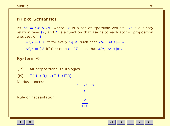## Kripke Semantics:

let  $M = \langle W, R, P \rangle$ , where W is a set of "possible worlds", R is a binary relation over  $W$ , and  $P$  is a function that asigns to each atomic proposition a subset of W.

 $M, s \models \Box A$  iff for every  $t \in W$  such that  $sRt, M, t \models A$ .

 $M, s \models \Diamond A$  iff for some  $t \in W$  such that  $sRt, M, t \models A$ .

### System K:

(P) all propositional tautologies

$$
(\mathsf{K}) \qquad \Box(A \supset B) \supset (\Box A \supset \Box B)
$$

Modus ponens:

$$
\begin{array}{c}\nA \supset B \quad A \\
B \\
\hline\n\frac{A}{\Box A}\n\end{array}
$$

Rule of necessitation: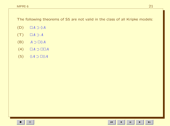The following theorems of S5 are not valid in the class of all Kripke models:

- $(D)$   $\Box A \supset \Diamond A$
- $(T)$   $\Box A \supset A$
- $(B)$   $A \supset \Box \Diamond A$
- $(4)$   $\Box A \supset \Box \Box A$
- (5)  $\Diamond A \supset \Box \Diamond A$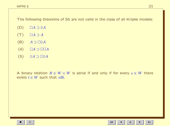The following theorems of S5 are not valid in the class of all Kripke models:

- $(D)$   $\Box A \supset \Diamond A$
- $(T)$   $\Box A \supset A$
- $(B)$   $A \supset \Box \Diamond A$
- $(4)$   $\Box A \supset \Box \Box A$
- $(5)$   $\Diamond A \supset \Box \Diamond A$

A binary relation  $R \in W \times W$  is serial if and only if for every  $s \in W$  there exists  $t \in W$  such that sRt.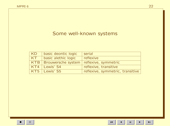## Some well-known systems

| KD | basic deontic logic                             | serial                           |
|----|-------------------------------------------------|----------------------------------|
| KT | basic alethic logic                             | reflexive                        |
|    | KTB   Brouwersche system   reflexive, symmetric |                                  |
|    | KT4   Lewis' S4                                 | reflexive, transitive            |
|    | KT5   Lewis' S5                                 | reflexive, symmetric, transitive |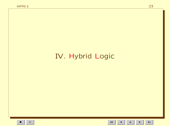# IV. Hybrid Logic

 $\mathbf{H}^{\dagger}$  $\blacktriangleright$  $\blacktriangleleft$ 

 $\blacktriangleright$  l

 $\blacksquare$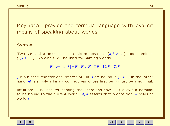Key idea: provide the formula language with explicit means of speaking about worlds!

#### Syntax:

Two sorts of atoms: usual atomic propositions  $(a, b, c, \ldots)$ , and nominals  $(i, j, k, \ldots)$ . Nominals will be used for naming worlds.

 $F$  :  $= a | i | \neg F | F \vee F | \Box F | i \cdot F | \mathcal{Q}_i F$ 

↓ is a binder: the free occurrences of i in A are bound in  $\downarrow i$ . F. On the, other hand, @ is simply a binary connectives whose first term must be a nominal.

Intuition: L is used for naming the "here-and-now". It allows a nominal to be bound to the current world.  $\mathbb{Q}_i A$  asserts that proposition A holds at world i.

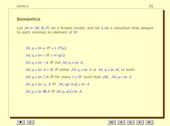#### Semantics:

Let  $M = \langle W, R, P \rangle$  be a Kripke model, and let  $\eta$  be a valuation that assigns to each nominal an element of W.

 $\mathcal{M}, \eta, s \models a$  iff  $s \in P(a)$ .  $\mathcal{M}, \eta, s \models i$  iff  $s = \eta(i)$ .  $\mathcal{M}, \eta, s \models \neg A$  iff not  $\mathcal{M}, \eta, s \models A$ .  $M, \eta, s \models A \lor B$  iff either  $M, \eta, s \models A$  or  $M, \eta, s \models B$ , or both.  $\mathcal{M}, \eta, s \models \Box A$  iff for every  $t \in W$  such that  $sRt, \mathcal{M}, \eta, t \models A$ .  $\mathcal{M}, \eta, s \models \mathcal{F} \mathcal{F} \mathcal{M}, \eta[i:=s], s \models A.$  $\mathcal{M}, \eta, s \models \mathbb{Q}_i A$  iff  $\mathcal{M}, \eta, \eta(i) \models A$ .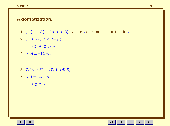### Axiomatization:

- 1.  $\downarrow i$ .  $(A \supset B) \supset (A \supset \downarrow i$ . B), where i does not occur free in A
- 2.  $\downarrow i. A \supset (j \supset A[i:=j])$
- 3.  $\downarrow i. (i \supset A) \supset \downarrow i. A$
- 4.  $\downarrow i. A \equiv \neg \downarrow i. \neg A$
- 5.  $\mathbb{Q}_i(A \supset B) \supset (\mathbb{Q}_i A \supset \mathbb{Q}_i B)$ 6.  $\mathbb{Q}_i A \equiv \neg \mathbb{Q}_i \neg A$
- 7.  $i \wedge A \supset Q_i A$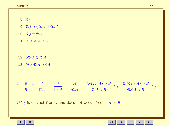